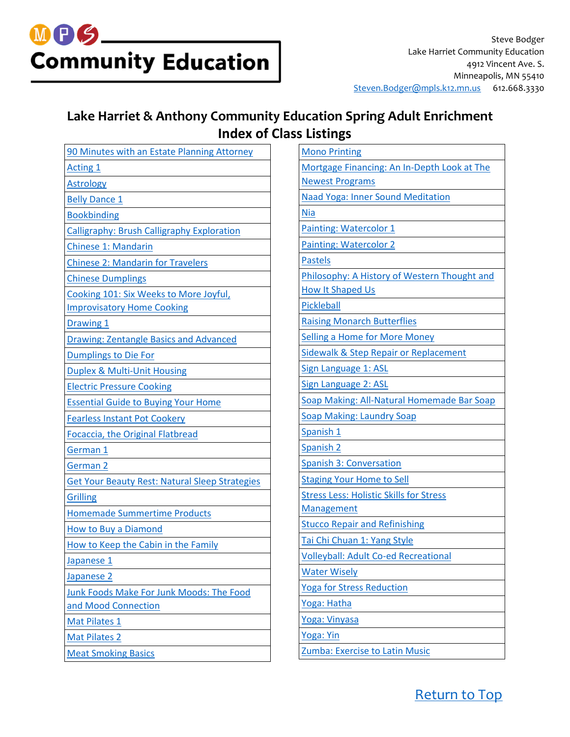

#### **Lake Harriet & Anthony Community Education Spring Adult Enrichment Index of Class Listings**

| 90 Minutes with an Estate Planning Attorney           |
|-------------------------------------------------------|
| <b>Acting 1</b>                                       |
| <b>Astrology</b>                                      |
| <b>Belly Dance 1</b>                                  |
| <b>Bookbinding</b>                                    |
| <b>Calligraphy: Brush Calligraphy Exploration</b>     |
| <b>Chinese 1: Mandarin</b>                            |
| <b>Chinese 2: Mandarin for Travelers</b>              |
| <b>Chinese Dumplings</b>                              |
| Cooking 101: Six Weeks to More Joyful,                |
| <b>Improvisatory Home Cooking</b>                     |
| Drawing 1                                             |
| <b>Drawing: Zentangle Basics and Advanced</b>         |
| <b>Dumplings to Die For</b>                           |
| <b>Duplex &amp; Multi-Unit Housing</b>                |
| <b>Electric Pressure Cooking</b>                      |
| <b>Essential Guide to Buying Your Home</b>            |
| <b>Fearless Instant Pot Cookery</b>                   |
| <b>Focaccia, the Original Flatbread</b>               |
| German 1                                              |
| German 2                                              |
| <b>Get Your Beauty Rest: Natural Sleep Strategies</b> |
| <b>Grilling</b>                                       |
| <b>Homemade Summertime Products</b>                   |
| <b>How to Buy a Diamond</b>                           |
| How to Keep the Cabin in the Family                   |
| Japanese 1                                            |
| Japanese 2                                            |
| Junk Foods Make For Junk Moods: The Food              |
| and Mood Connection                                   |
| Mat Pilates 1                                         |
| <b>Mat Pilates 2</b>                                  |
| <b>Meat Smoking Basics</b>                            |

<span id="page-0-0"></span>

| <b>Mono Printing</b>                             |
|--------------------------------------------------|
| Mortgage Financing: An In-Depth Look at The      |
| <b>Newest Programs</b>                           |
| Naad Yoga: Inner Sound Meditation                |
| Nia                                              |
| <b>Painting: Watercolor 1</b>                    |
| <b>Painting: Watercolor 2</b>                    |
| <b>Pastels</b>                                   |
| Philosophy: A History of Western Thought and     |
| <b>How It Shaped Us</b>                          |
| <b>Pickleball</b>                                |
| <b>Raising Monarch Butterflies</b>               |
| <b>Selling a Home for More Money</b>             |
| <b>Sidewalk &amp; Step Repair or Replacement</b> |
| Sign Language 1: ASL                             |
| <b>Sign Language 2: ASL</b>                      |
| Soap Making: All-Natural Homemade Bar Soap       |
| <b>Soap Making: Laundry Soap</b>                 |
| Spanish 1                                        |
| Spanish 2                                        |
| <b>Spanish 3: Conversation</b>                   |
| <b>Staging Your Home to Sell</b>                 |
| <b>Stress Less: Holistic Skills for Stress</b>   |
| <b>Management</b>                                |
| <b>Stucco Repair and Refinishing</b>             |
| Tai Chi Chuan 1: Yang Style                      |
| <b>Volleyball: Adult Co-ed Recreational</b>      |
| <b>Water Wisely</b>                              |
| <b>Yoga for Stress Reduction</b>                 |
| Yoga: Hatha                                      |
| <u> Yoga: Vinyasa</u>                            |
| Yoga: Yin                                        |
| Zumba: Exercise to Latin Music                   |

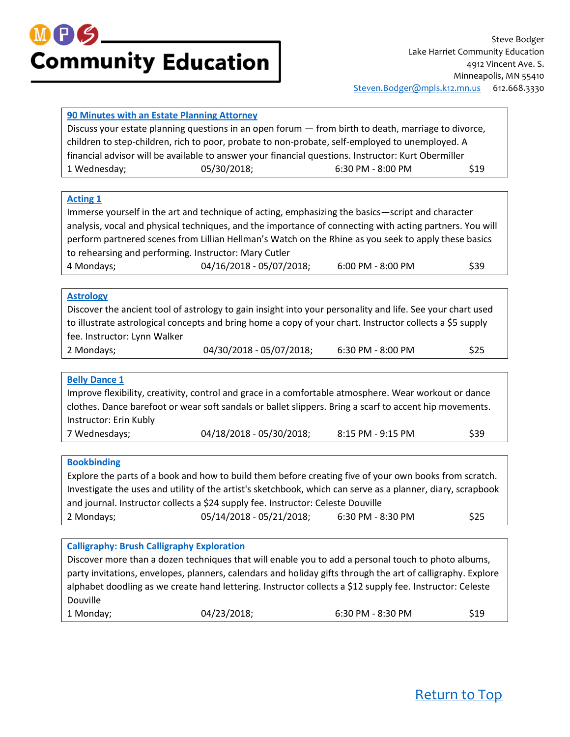#### <span id="page-1-0"></span>**[90 Minutes with an Estate Planning Attorney](https://minneapolis.ce.eleyo.com/course/12615/adult-enrichment-spring-summer-2018/90-minutes-with-an-estate-planning-attorney-lake-harriet)**

Discuss your estate planning questions in an open forum — from birth to death, marriage to divorce, children to step-children, rich to poor, probate to non-probate, self-employed to unemployed. A financial advisor will be available to answer your financial questions. Instructor: Kurt Obermiller 1 Wednesday; 05/30/2018; 6:30 PM - 8:00 PM \$19

#### <span id="page-1-1"></span>**[Acting 1](https://minneapolis.ce.eleyo.com/course/13697/adult-enrichment-spring-summer-2018/acting-1-lake-harriet)**

Immerse yourself in the art and technique of acting, emphasizing the basics—script and character analysis, vocal and physical techniques, and the importance of connecting with acting partners. You will perform partnered scenes from Lillian Hellman's Watch on the Rhine as you seek to apply these basics to rehearsing and performing. Instructor: Mary Cutler 4 Mondays; 04/16/2018 - 05/07/2018; 6:00 PM - 8:00 PM \$39

#### <span id="page-1-2"></span>**[Astrology](https://minneapolis.ce.eleyo.com/course/12571/adult-enrichment-spring-summer-2018/astrology-lake-harriet)**

Discover the ancient tool of astrology to gain insight into your personality and life. See your chart used to illustrate astrological concepts and bring home a copy of your chart. Instructor collects a \$5 supply fee. Instructor: Lynn Walker

- 2 Mondays; 04/30/2018 05/07/2018; 6:30 PM 8:00 PM \$25
- -

#### <span id="page-1-3"></span>**[Belly Dance 1](https://minneapolis.ce.eleyo.com/course/12616/adult-enrichment-spring-summer-2018/belly-dance-1-lake-harriet)**

Improve flexibility, creativity, control and grace in a comfortable atmosphere. Wear workout or dance clothes. Dance barefoot or wear soft sandals or ballet slippers. Bring a scarf to accent hip movements. Instructor: Erin Kubly 7 Wednesdays; 04/18/2018 - 05/30/2018; 8:15 PM - 9:15 PM \$39

#### <span id="page-1-4"></span>**[Bookbinding](https://minneapolis.ce.eleyo.com/course/12635/adult-enrichment-spring-summer-2018/bookbinding-lake-harriet)**

Explore the parts of a book and how to build them before creating five of your own books from scratch. Investigate the uses and utility of the artist's sketchbook, which can serve as a planner, diary, scrapbook and journal. Instructor collects a \$24 supply fee. Instructor: Celeste Douville 2 Mondays; 05/14/2018 - 05/21/2018; 6:30 PM - 8:30 PM \$25

#### <span id="page-1-5"></span>**[Calligraphy: Brush Calligraphy Exploration](https://minneapolis.ce.eleyo.com/course/12602/adult-enrichment-spring-summer-2018/calligraphy-brush-calligraphy-exploration-lake-harriet)**

Discover more than a dozen techniques that will enable you to add a personal touch to photo albums, party invitations, envelopes, planners, calendars and holiday gifts through the art of calligraphy. Explore alphabet doodling as we create hand lettering. Instructor collects a \$12 supply fee. Instructor: Celeste Douville 1 Monday; 04/23/2018; 6:30 PM - 8:30 PM \$19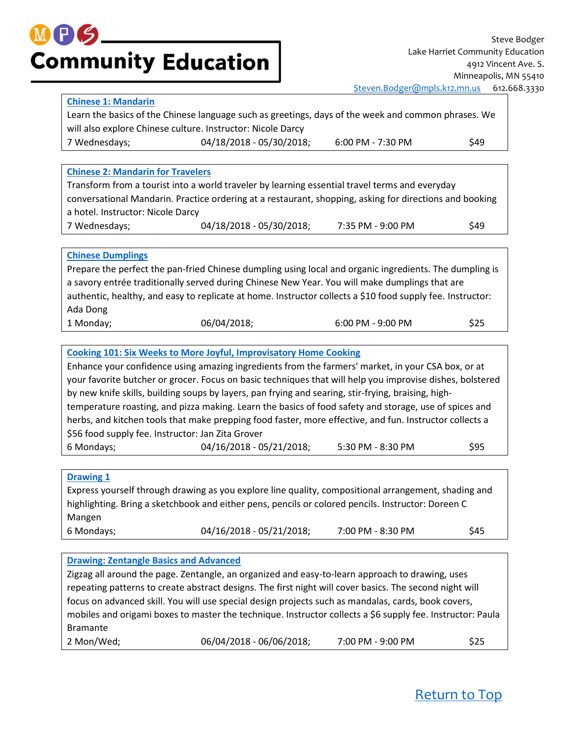#### <span id="page-2-0"></span>**[Chinese 1: Mandarin](https://minneapolis.ce.eleyo.com/course/12480/adult-enrichment-spring-summer-2018/chinese-1-mandarin-lake-harriet)**

Learn the basics of the Chinese language such as greetings, days of the week and common phrases. We will also explore Chinese culture. Instructor: Nicole Darcy 7 Wednesdays; 04/18/2018 - 05/30/2018; 6:00 PM - 7:30 PM \$49

#### <span id="page-2-2"></span><span id="page-2-1"></span>**[Chinese 2: Mandarin for Travelers](https://minneapolis.ce.eleyo.com/course/12673/adult-enrichment-spring-summer-2018/chinese-2-mandarin-for-travelers-lake-harriet)** Transform from a tourist into a world traveler by learning essential travel terms and everyday conversational Mandarin. Practice ordering at a restaurant, shopping, asking for directions and booking a hotel. Instructor: Nicole Darcy 7 Wednesdays; 04/18/2018 - 05/30/2018; 7:35 PM - 9:00 PM \$49 **[Chinese Dumplings](https://minneapolis.ce.eleyo.com/course/12675/adult-enrichment-spring-summer-2018/chinese-dumplings-lake-harriet)** Prepare the perfect the pan-fried Chinese dumpling using local and organic ingredients. The dumpling is a savory entrée traditionally served during Chinese New Year. You will make dumplings that are authentic, healthy, and easy to replicate at home. Instructor collects a \$10 food supply fee. Instructor: Ada Dong 1 Monday; 06/04/2018; 6:00 PM - 9:00 PM \$25 **[Cooking 101: Six Weeks to More Joyful, Improvisatory Home Cooking](https://minneapolis.ce.eleyo.com/course/12691/adult-enrichment-spring-summer-2018/cooking-101-six-weeks-to-more-joyful-improvisatory-home-cooking-lake-harriet-at-anthony)** Enhance your confidence using amazing ingredients from the farmers' market, in your CSA box, or at

<span id="page-2-3"></span>your favorite butcher or grocer. Focus on basic techniques that will help you improvise dishes, bolstered by new knife skills, building soups by layers, pan frying and searing, stir-frying, braising, hightemperature roasting, and pizza making. Learn the basics of food safety and storage, use of spices and herbs, and kitchen tools that make prepping food faster, more effective, and fun. Instructor collects a \$56 food supply fee. Instructor: Jan Zita Grover 6 Mondays; 04/16/2018 - 05/21/2018; 5:30 PM - 8:30 PM \$95

#### <span id="page-2-4"></span>**[Drawing 1](https://minneapolis.ce.eleyo.com/course/12499/adult-enrichment-spring-summer-2018/drawing-1-lake-harriet)**

Express yourself through drawing as you explore line quality, compositional arrangement, shading and highlighting. Bring a sketchbook and either pens, pencils or colored pencils. Instructor: Doreen C Mangen 6 Mondays; 04/16/2018 - 05/21/2018; 7:00 PM - 8:30 PM \$45

#### <span id="page-2-5"></span>**[Drawing: Zentangle Basics and Advanced](https://minneapolis.ce.eleyo.com/course/12680/adult-enrichment-spring-summer-2018/drawing-zentangle-basics-and-advanced-lake-harriet)**

Zigzag all around the page. Zentangle, an organized and easy-to-learn approach to drawing, uses repeating patterns to create abstract designs. The first night will cover basics. The second night will focus on advanced skill. You will use special design projects such as mandalas, cards, book covers, mobiles and origami boxes to master the technique. Instructor collects a \$6 supply fee. Instructor: Paula Bramante 2 Mon/Wed; 06/04/2018 - 06/06/2018; 7:00 PM - 9:00 PM \$25

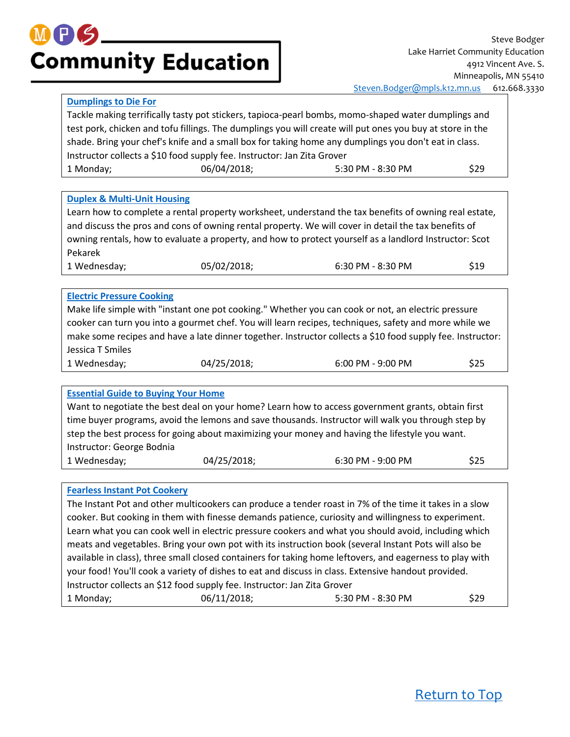## $M$  (Fig. **Community Education**

#### <span id="page-3-0"></span>**[Dumplings to Die For](https://minneapolis.ce.eleyo.com/course/12787/adult-enrichment-spring-summer-2018/dumplings-to-die-for-lake-harriet-at-anthony)**

Tackle making terrifically tasty pot stickers, tapioca-pearl bombs, momo-shaped water dumplings and test pork, chicken and tofu fillings. The dumplings you will create will put ones you buy at store in the shade. Bring your chef's knife and a small box for taking home any dumplings you don't eat in class. Instructor collects a \$10 food supply fee. Instructor: Jan Zita Grover 1 Monday; 06/04/2018; 5:30 PM - 8:30 PM \$29

#### <span id="page-3-1"></span>**[Duplex & Multi-Unit Housing](https://minneapolis.ce.eleyo.com/course/12547/adult-enrichment-spring-summer-2018/duplex-multi-unit-housing-lake-harriet)**

Learn how to complete a rental property worksheet, understand the tax benefits of owning real estate, and discuss the pros and cons of owning rental property. We will cover in detail the tax benefits of owning rentals, how to evaluate a property, and how to protect yourself as a landlord Instructor: Scot Pekarek

1 Wednesday; 05/02/2018; 6:30 PM - 8:30 PM \$19

#### <span id="page-3-2"></span>**[Electric Pressure Cooking](https://minneapolis.ce.eleyo.com/course/12790/adult-enrichment-spring-summer-2018/electric-pressure-cooking-lake-harriet)**

Make life simple with "instant one pot cooking." Whether you can cook or not, an electric pressure cooker can turn you into a gourmet chef. You will learn recipes, techniques, safety and more while we make some recipes and have a late dinner together. Instructor collects a \$10 food supply fee. Instructor: Jessica T Smiles

| 1 Wednesday; | 04/25/2018; | 6:00 PM - 9:00 PM | \$25 |
|--------------|-------------|-------------------|------|
|--------------|-------------|-------------------|------|

#### <span id="page-3-3"></span>**[Essential Guide to Buying Your Home](https://minneapolis.ce.eleyo.com/course/12543/adult-enrichment-spring-summer-2018/essential-guide-to-buying-your-home-lake-harriet)**

Want to negotiate the best deal on your home? Learn how to access government grants, obtain first time buyer programs, avoid the lemons and save thousands. Instructor will walk you through step by step the best process for going about maximizing your money and having the lifestyle you want. Instructor: George Bodnia 1 Wednesday; 04/25/2018; 6:30 PM - 9:00 PM \$25

#### <span id="page-3-4"></span>**[Fearless Instant Pot Cookery](https://minneapolis.ce.eleyo.com/course/13892/adult-enrichment-spring-summer-2018/fearless-instant-pot-cookery-lake-harriet-at-anthony)**

The Instant Pot and other multicookers can produce a tender roast in 7% of the time it takes in a slow cooker. But cooking in them with finesse demands patience, curiosity and willingness to experiment. Learn what you can cook well in electric pressure cookers and what you should avoid, including which meats and vegetables. Bring your own pot with its instruction book (several Instant Pots will also be available in class), three small closed containers for taking home leftovers, and eagerness to play with your food! You'll cook a variety of dishes to eat and discuss in class. Extensive handout provided. Instructor collects an \$12 food supply fee. Instructor: Jan Zita Grover 1 Monday; 06/11/2018; 5:30 PM - 8:30 PM \$29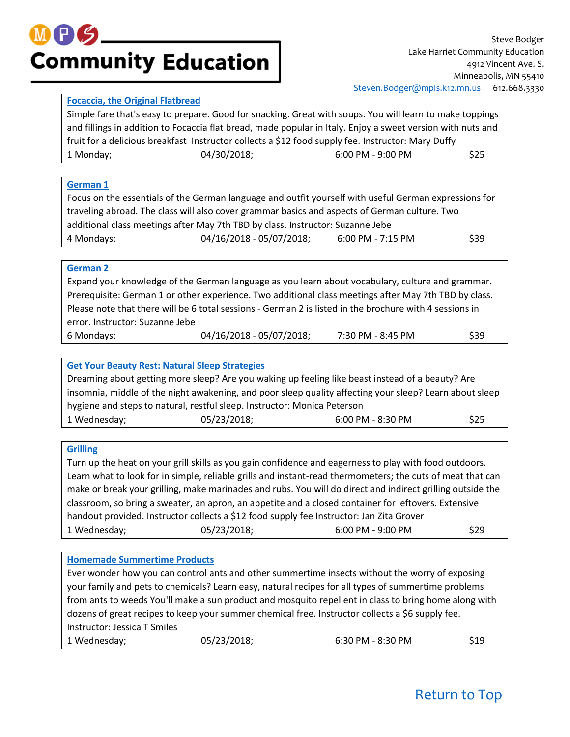

#### <span id="page-4-0"></span>**[Focaccia, the Original Flatbread](https://minneapolis.ce.eleyo.com/course/12818/adult-enrichment-spring-summer-2018/focaccia-the-original-flatbread-lake-harriet)**

Simple fare that's easy to prepare. Good for snacking. Great with soups. You will learn to make toppings and fillings in addition to Focaccia flat bread, made popular in Italy. Enjoy a sweet version with nuts and fruit for a delicious breakfast Instructor collects a \$12 food supply fee. Instructor: Mary Duffy 1 Monday; 04/30/2018; 6:00 PM - 9:00 PM \$25

#### <span id="page-4-1"></span>**[German 1](https://minneapolis.ce.eleyo.com/course/12483/adult-enrichment-spring-summer-2018/german-1-lake-harriet)**

Focus on the essentials of the German language and outfit yourself with useful German expressions for traveling abroad. The class will also cover grammar basics and aspects of German culture. Two additional class meetings after May 7th TBD by class. Instructor: Suzanne Jebe 4 Mondays; 04/16/2018 - 05/07/2018; 6:00 PM - 7:15 PM \$39

#### <span id="page-4-2"></span>**[German 2](https://minneapolis.ce.eleyo.com/course/12532/adult-enrichment-spring-summer-2018/german-2-lake-harriet)**

Expand your knowledge of the German language as you learn about vocabulary, culture and grammar. Prerequisite: German 1 or other experience. Two additional class meetings after May 7th TBD by class. Please note that there will be 6 total sessions - German 2 is listed in the brochure with 4 sessions in error. Instructor: Suzanne Jebe 6 Mondays; 04/16/2018 - 05/07/2018; 7:30 PM - 8:45 PM \$39

#### <span id="page-4-3"></span>**[Get Your Beauty Rest: Natural Sleep Strategies](https://minneapolis.ce.eleyo.com/course/12813/adult-enrichment-spring-summer-2018/get-your-beauty-rest-natural-sleep-strategies-lake-harriet-at-anthony)**

| Dreaming about getting more sleep? Are you waking up feeling like beast instead of a beauty? Are        |             |                     |             |  |
|---------------------------------------------------------------------------------------------------------|-------------|---------------------|-------------|--|
| insomnia, middle of the night awakening, and poor sleep quality affecting your sleep? Learn about sleep |             |                     |             |  |
| hygiene and steps to natural, restful sleep. Instructor: Monica Peterson                                |             |                     |             |  |
| 1 Wednesday;                                                                                            | 05/23/2018; | $6:00$ PM - 8:30 PM | <b>\$25</b> |  |

#### <span id="page-4-4"></span>**[Grilling](https://minneapolis.ce.eleyo.com/course/13893/adult-enrichment-spring-summer-2018/grilling-lake-harriet)**

Turn up the heat on your grill skills as you gain confidence and eagerness to play with food outdoors. Learn what to look for in simple, reliable grills and instant-read thermometers; the cuts of meat that can make or break your grilling, make marinades and rubs. You will do direct and indirect grilling outside the classroom, so bring a sweater, an apron, an appetite and a closed container for leftovers. Extensive handout provided. Instructor collects a \$12 food supply fee Instructor: Jan Zita Grover 1 Wednesday; 05/23/2018; 6:00 PM - 9:00 PM \$29

#### <span id="page-4-5"></span>**[Homemade Summertime Products](https://minneapolis.ce.eleyo.com/course/13890/adult-enrichment-spring-summer-2018/homemade-summertime-products-lake-harriet)**

Ever wonder how you can control ants and other summertime insects without the worry of exposing your family and pets to chemicals? Learn easy, natural recipes for all types of summertime problems from ants to weeds You'll make a sun product and mosquito repellent in class to bring home along with dozens of great recipes to keep your summer chemical free. Instructor collects a \$6 supply fee. Instructor: Jessica T Smiles

| 1 Wednesday; | 05/23/2018; | 6:30 PM - 8:30 PM | \$19 |
|--------------|-------------|-------------------|------|
|--------------|-------------|-------------------|------|

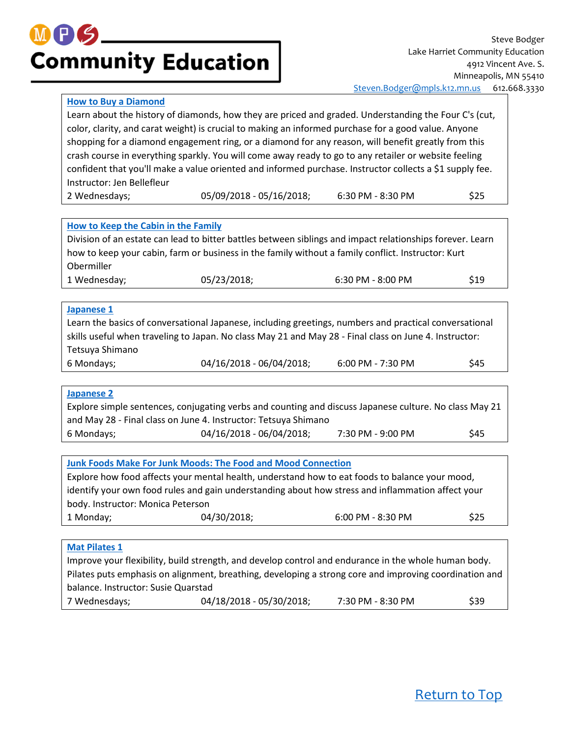#### <span id="page-5-0"></span>**[How to Buy a Diamond](https://minneapolis.ce.eleyo.com/course/12809/adult-enrichment-spring-summer-2018/how-to-buy-a-diamond-lake-harriet)**

Learn about the history of diamonds, how they are priced and graded. Understanding the Four C's (cut, color, clarity, and carat weight) is crucial to making an informed purchase for a good value. Anyone shopping for a diamond engagement ring, or a diamond for any reason, will benefit greatly from this crash course in everything sparkly. You will come away ready to go to any retailer or website feeling confident that you'll make a value oriented and informed purchase. Instructor collects a \$1 supply fee. Instructor: Jen Bellefleur

| 2 Wednesdays; | 05/09/2018 - 05/16/2018; | 6:30 PM - 8:30 PM | \$25 |
|---------------|--------------------------|-------------------|------|
|               |                          |                   |      |

<span id="page-5-1"></span>

|  | How to Keep the Cabin in the Family |
|--|-------------------------------------|
|  |                                     |

Division of an estate can lead to bitter battles between siblings and impact relationships forever. Learn how to keep your cabin, farm or business in the family without a family conflict. Instructor: Kurt Obermiller 1 Wednesday; 05/23/2018; 6:30 PM - 8:00 PM \$19

#### <span id="page-5-2"></span>**[Japanese 1](https://minneapolis.ce.eleyo.com/course/12484/adult-enrichment-spring-summer-2018/japanese-1-lake-harriet)**

Learn the basics of conversational Japanese, including greetings, numbers and practical conversational skills useful when traveling to Japan. No class May 21 and May 28 - Final class on June 4. Instructor: Tetsuya Shimano 6 Mondays; 04/16/2018 - 06/04/2018; 6:00 PM - 7:30 PM \$45

#### <span id="page-5-3"></span>**[Japanese 2](https://minneapolis.ce.eleyo.com/course/12485/adult-enrichment-spring-summer-2018/japanese-2-lake-harriet)**

Explore simple sentences, conjugating verbs and counting and discuss Japanese culture. No class May 21 and May 28 - Final class on June 4. Instructor: Tetsuya Shimano 6 Mondays; 04/16/2018 - 06/04/2018; 7:30 PM - 9:00 PM \$45

<span id="page-5-4"></span>

|                                   | <b>Junk Foods Make For Junk Moods: The Food and Mood Connection</b> |                                                                                                   |      |
|-----------------------------------|---------------------------------------------------------------------|---------------------------------------------------------------------------------------------------|------|
|                                   |                                                                     | Explore how food affects your mental health, understand how to eat foods to balance your mood,    |      |
|                                   |                                                                     | identify your own food rules and gain understanding about how stress and inflammation affect your |      |
| body. Instructor: Monica Peterson |                                                                     |                                                                                                   |      |
| 1 Monday;                         | 04/30/2018;                                                         | $6:00$ PM - $8:30$ PM                                                                             | \$25 |
|                                   |                                                                     |                                                                                                   |      |
| <b>Mat Pilates 1</b>              |                                                                     |                                                                                                   |      |

<span id="page-5-5"></span>Improve your flexibility, build strength, and develop control and endurance in the whole human body. Pilates puts emphasis on alignment, breathing, developing a strong core and improving coordination and balance. Instructor: Susie Quarstad 7 Wednesdays; 04/18/2018 - 05/30/2018; 7:30 PM - 8:30 PM \$39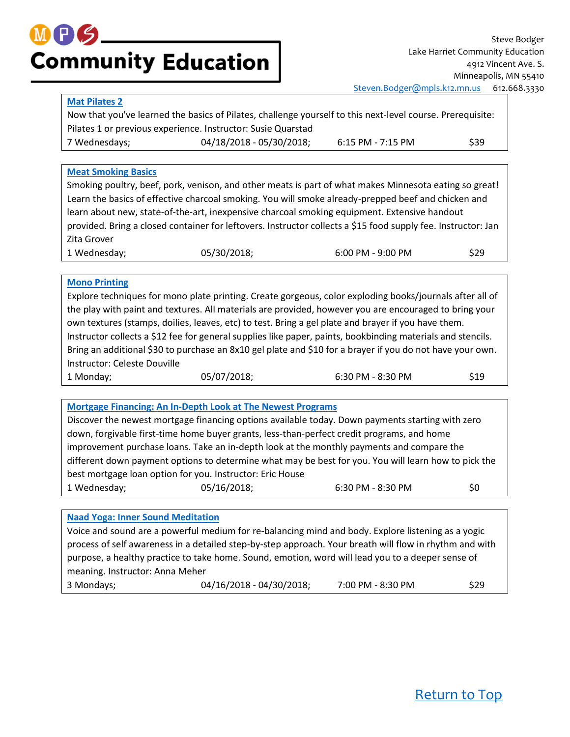#### <span id="page-6-0"></span>**[Mat Pilates 2](https://minneapolis.ce.eleyo.com/course/12492/adult-enrichment-spring-summer-2018/mat-pilates-2-lake-harriet)**

Now that you've learned the basics of Pilates, challenge yourself to this next-level course. Prerequisite: Pilates 1 or previous experience. Instructor: Susie Quarstad 7 Wednesdays; 04/18/2018 - 05/30/2018; 6:15 PM - 7:15 PM \$39

#### <span id="page-6-1"></span>**[Meat Smoking Basics](https://minneapolis.ce.eleyo.com/course/13894/adult-enrichment-spring-summer-2018/meat-smoking-basics-lake-harriet)**

Smoking poultry, beef, pork, venison, and other meats is part of what makes Minnesota eating so great! Learn the basics of effective charcoal smoking. You will smoke already-prepped beef and chicken and learn about new, state-of-the-art, inexpensive charcoal smoking equipment. Extensive handout provided. Bring a closed container for leftovers. Instructor collects a \$15 food supply fee. Instructor: Jan Zita Grover 1 Wednesday; 05/30/2018; 6:00 PM - 9:00 PM \$29

#### <span id="page-6-2"></span>**[Mono Printing](https://minneapolis.ce.eleyo.com/course/12748/adult-enrichment-spring-summer-2018/mono-printing-lake-harriet)**

Explore techniques for mono plate printing. Create gorgeous, color exploding books/journals after all of the play with paint and textures. All materials are provided, however you are encouraged to bring your own textures (stamps, doilies, leaves, etc) to test. Bring a gel plate and brayer if you have them. Instructor collects a \$12 fee for general supplies like paper, paints, bookbinding materials and stencils. Bring an additional \$30 to purchase an 8x10 gel plate and \$10 for a brayer if you do not have your own. Instructor: Celeste Douville 1 Monday; 05/07/2018; 6:30 PM - 8:30 PM \$19

#### <span id="page-6-3"></span>**[Mortgage Financing: An In-Depth Look at The Newest Programs](https://minneapolis.ce.eleyo.com/course/12765/adult-enrichment-spring-summer-2018/mortgage-financing-an-in-depth-look-at-the-newest-programs-lake-harriet)**

Discover the newest mortgage financing options available today. Down payments starting with zero down, forgivable first-time home buyer grants, less-than-perfect credit programs, and home improvement purchase loans. Take an in-depth look at the monthly payments and compare the different down payment options to determine what may be best for you. You will learn how to pick the best mortgage loan option for you. Instructor: Eric House 1 Wednesday; 05/16/2018; 6:30 PM - 8:30 PM \$0

#### <span id="page-6-4"></span>**[Naad Yoga: Inner Sound Meditation](https://minneapolis.ce.eleyo.com/course/13699/adult-enrichment-spring-summer-2018/naad-yoga-inner-sound-meditation-lake-harriet-at-anthony)**

Voice and sound are a powerful medium for re-balancing mind and body. Explore listening as a yogic process of self awareness in a detailed step-by-step approach. Your breath will flow in rhythm and with purpose, a healthy practice to take home. Sound, emotion, word will lead you to a deeper sense of meaning. Instructor: Anna Meher 3 Mondays; 04/16/2018 - 04/30/2018; 7:00 PM - 8:30 PM \$29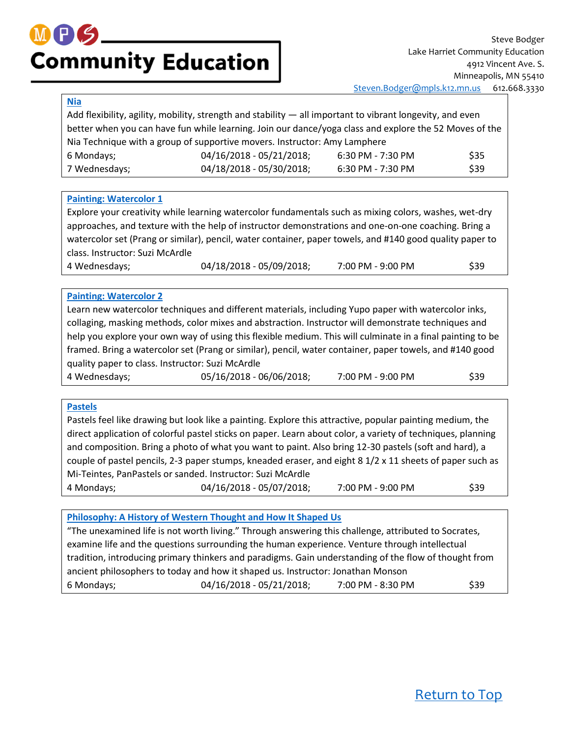### M P S **Community Education**

#### <span id="page-7-0"></span>**[Nia](https://minneapolis.ce.eleyo.com/course/12486/adult-enrichment-spring-summer-2018/nia-lake-harriet)**

|                                                                                                        | Add flexibility, agility, mobility, strength and stability - all important to vibrant longevity, and even |                     |      |
|--------------------------------------------------------------------------------------------------------|-----------------------------------------------------------------------------------------------------------|---------------------|------|
| better when you can have fun while learning. Join our dance/yoga class and explore the 52 Moves of the |                                                                                                           |                     |      |
|                                                                                                        | Nia Technique with a group of supportive movers. Instructor: Amy Lamphere                                 |                     |      |
| 6 Mondays;                                                                                             | 04/16/2018 - 05/21/2018;                                                                                  | $6:30$ PM - 7:30 PM | \$35 |
| 7 Wednesdays;                                                                                          | 04/18/2018 - 05/30/2018;                                                                                  | $6:30$ PM - 7:30 PM | \$39 |

#### <span id="page-7-1"></span>**[Painting: Watercolor 1](https://minneapolis.ce.eleyo.com/course/12489/adult-enrichment-spring-summer-2018/painting-watercolor-1-lake-harriet)**

Explore your creativity while learning watercolor fundamentals such as mixing colors, washes, wet-dry approaches, and texture with the help of instructor demonstrations and one-on-one coaching. Bring a watercolor set (Prang or similar), pencil, water container, paper towels, and #140 good quality paper to class. Instructor: Suzi McArdle

4 Wednesdays; 04/18/2018 - 05/09/2018; 7:00 PM - 9:00 PM \$39

#### <span id="page-7-2"></span>**[Painting: Watercolor 2](https://minneapolis.ce.eleyo.com/course/12490/adult-enrichment-spring-summer-2018/painting-watercolor-2-lake-harriet)**

Learn new watercolor techniques and different materials, including Yupo paper with watercolor inks, collaging, masking methods, color mixes and abstraction. Instructor will demonstrate techniques and help you explore your own way of using this flexible medium. This will culminate in a final painting to be framed. Bring a watercolor set (Prang or similar), pencil, water container, paper towels, and #140 good quality paper to class. Instructor: Suzi McArdle 4 Wednesdays; 05/16/2018 - 06/06/2018; 7:00 PM - 9:00 PM \$39

#### <span id="page-7-3"></span>**[Pastels](https://minneapolis.ce.eleyo.com/course/12709/adult-enrichment-spring-summer-2018/pastels-lake-harriet)**

Pastels feel like drawing but look like a painting. Explore this attractive, popular painting medium, the direct application of colorful pastel sticks on paper. Learn about color, a variety of techniques, planning and composition. Bring a photo of what you want to paint. Also bring 12-30 pastels (soft and hard), a couple of pastel pencils, 2-3 paper stumps, kneaded eraser, and eight 8 1/2 x 11 sheets of paper such as Mi-Teintes, PanPastels or sanded. Instructor: Suzi McArdle 4 Mondays; 04/16/2018 - 05/07/2018; 7:00 PM - 9:00 PM \$39

<span id="page-7-4"></span>**[Philosophy: A History of Western Thought and How It Shaped Us](https://minneapolis.ce.eleyo.com/course/12807/adult-enrichment-spring-summer-2018/philosophy-a-history-of-western-thought-and-how-it-shaped-us-lake-harriet-at-anthony)**

"The unexamined life is not worth living." Through answering this challenge, attributed to Socrates, examine life and the questions surrounding the human experience. Venture through intellectual tradition, introducing primary thinkers and paradigms. Gain understanding of the flow of thought from ancient philosophers to today and how it shaped us. Instructor: Jonathan Monson 6 Mondays;  $04/16/2018 - 05/21/2018$ ; 7:00 PM - 8:30 PM \$39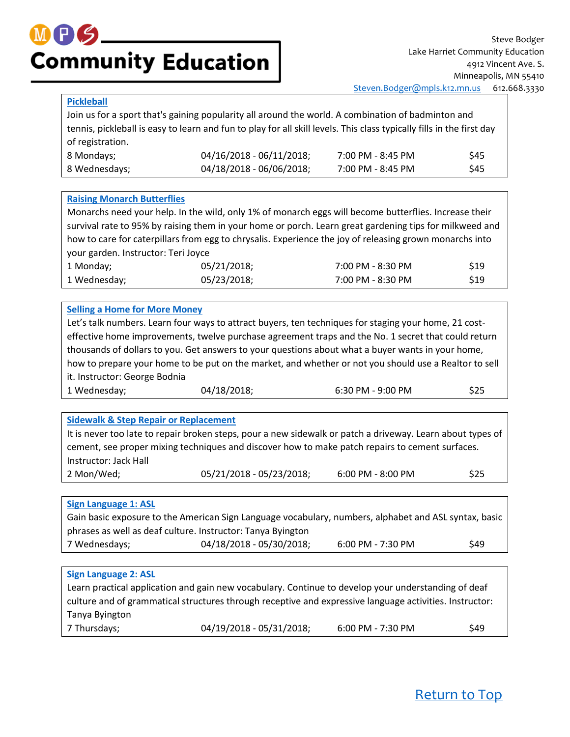#### <span id="page-8-0"></span>**[Pickleball](https://minneapolis.ce.eleyo.com/course/12667/adult-enrichment-spring-summer-2018/pickleball-lake-harriet-at-anthony)**

Join us for a sport that's gaining popularity all around the world. A combination of badminton and tennis, pickleball is easy to learn and fun to play for all skill levels. This class typically fills in the first day of registration. 8 Mondays; 04/16/2018 - 06/11/2018; 7:00 PM - 8:45 PM \$45

8 Wednesdays; 04/18/2018 - 06/06/2018; 7:00 PM - 8:45 PM \$45

#### <span id="page-8-1"></span>**[Raising Monarch Butterflies](https://minneapolis.ce.eleyo.com/course/13698/adult-enrichment-spring-summer-2018/raising-monarch-butterflies-lake-harriet)**

Monarchs need your help. In the wild, only 1% of monarch eggs will become butterflies. Increase their survival rate to 95% by raising them in your home or porch. Learn great gardening tips for milkweed and how to care for caterpillars from egg to chrysalis. Experience the joy of releasing grown monarchs into your garden. Instructor: Teri Joyce 1 Monday; 05/21/2018; 7:00 PM - 8:30 PM \$19 1 Wednesday; 05/23/2018; 7:00 PM - 8:30 PM \$19

#### <span id="page-8-2"></span>**[Selling a Home for More Money](https://minneapolis.ce.eleyo.com/course/12542/adult-enrichment-spring-summer-2018/selling-a-home-for-more-money-lake-harriet)**

Let's talk numbers. Learn four ways to attract buyers, ten techniques for staging your home, 21 costeffective home improvements, twelve purchase agreement traps and the No. 1 secret that could return thousands of dollars to you. Get answers to your questions about what a buyer wants in your home, how to prepare your home to be put on the market, and whether or not you should use a Realtor to sell it. Instructor: George Bodnia 1 Wednesday; 04/18/2018; 6:30 PM - 9:00 PM \$25

#### <span id="page-8-3"></span>**[Sidewalk & Step Repair or Replacement](https://minneapolis.ce.eleyo.com/course/13701/adult-enrichment-spring-summer-2018/sidewalk-step-repair-or-replacement-lake-harriet)** It is never too late to repair broken steps, pour a new sidewalk or patch a driveway. Learn about types of cement, see proper mixing techniques and discover how to make patch repairs to cement surfaces. Instructor: Jack Hall 2 Mon/Wed; 05/21/2018 - 05/23/2018; 6:00 PM - 8:00 PM \$25

<span id="page-8-4"></span>

| <b>Sign Language 1: ASL</b>                                                                           |                          |                     |            |
|-------------------------------------------------------------------------------------------------------|--------------------------|---------------------|------------|
| Gain basic exposure to the American Sign Language vocabulary, numbers, alphabet and ASL syntax, basic |                          |                     |            |
| phrases as well as deaf culture. Instructor: Tanya Byington                                           |                          |                     |            |
| 7 Wednesdays;                                                                                         | 04/18/2018 - 05/30/2018; | $6:00$ PM - 7:30 PM | <b>S49</b> |

#### <span id="page-8-5"></span>**[Sign Language 2: ASL](https://minneapolis.ce.eleyo.com/course/12692/adult-enrichment-spring-summer-2018/sign-language-2-asl-lake-harriet)** Learn practical application and gain new vocabulary. Continue to develop your understanding of deaf culture and of grammatical structures through receptive and expressive language activities. Instructor: Tanya Byington 7 Thursdays; 04/19/2018 - 05/31/2018; 6:00 PM - 7:30 PM \$49

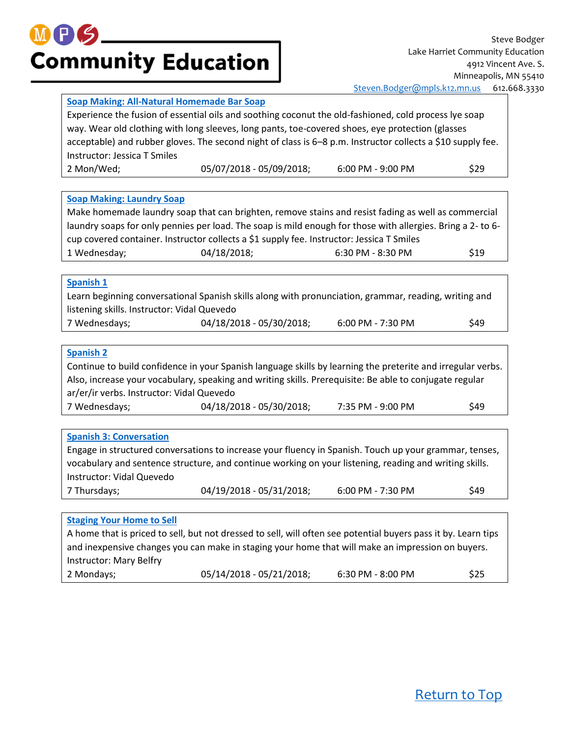<span id="page-9-2"></span><span id="page-9-1"></span><span id="page-9-0"></span>

|                                             | Soap Making: All-Natural Homemade Bar Soap                                                                     |                   |      |
|---------------------------------------------|----------------------------------------------------------------------------------------------------------------|-------------------|------|
|                                             | Experience the fusion of essential oils and soothing coconut the old-fashioned, cold process lye soap          |                   |      |
|                                             | way. Wear old clothing with long sleeves, long pants, toe-covered shoes, eye protection (glasses               |                   |      |
|                                             | acceptable) and rubber gloves. The second night of class is 6-8 p.m. Instructor collects a \$10 supply fee.    |                   |      |
| Instructor: Jessica T Smiles                |                                                                                                                |                   |      |
| 2 Mon/Wed;                                  | 05/07/2018 - 05/09/2018;                                                                                       | 6:00 PM - 9:00 PM | \$29 |
|                                             |                                                                                                                |                   |      |
| <b>Soap Making: Laundry Soap</b>            |                                                                                                                |                   |      |
|                                             | Make homemade laundry soap that can brighten, remove stains and resist fading as well as commercial            |                   |      |
|                                             | laundry soaps for only pennies per load. The soap is mild enough for those with allergies. Bring a 2-to 6-     |                   |      |
|                                             | cup covered container. Instructor collects a \$1 supply fee. Instructor: Jessica T Smiles                      |                   |      |
| 1 Wednesday;                                | 04/18/2018;                                                                                                    | 6:30 PM - 8:30 PM | \$19 |
|                                             |                                                                                                                |                   |      |
| Spanish 1                                   |                                                                                                                |                   |      |
|                                             | Learn beginning conversational Spanish skills along with pronunciation, grammar, reading, writing and          |                   |      |
| listening skills. Instructor: Vidal Quevedo |                                                                                                                |                   |      |
| 7 Wednesdays;                               | 04/18/2018 - 05/30/2018;                                                                                       | 6:00 PM - 7:30 PM | \$49 |
|                                             |                                                                                                                |                   |      |
| <b>Spanish 2</b>                            |                                                                                                                |                   |      |
|                                             | Continue to build confidence in your Spanish language skills by learning the preterite and irregular verbs.    |                   |      |
|                                             | Also, increase your vocabulary, speaking and writing skills. Prerequisite: Be able to conjugate regular        |                   |      |
| ar/er/ir verbs. Instructor: Vidal Quevedo   |                                                                                                                |                   |      |
| 7 Wednesdays;                               | 04/18/2018 - 05/30/2018;                                                                                       | 7:35 PM - 9:00 PM | \$49 |
|                                             |                                                                                                                |                   |      |
| <b>Spanish 3: Conversation</b>              |                                                                                                                |                   |      |
|                                             | Engage in structured conversations to increase your fluency in Spanish. Touch up your grammar, tenses,         |                   |      |
|                                             | vocabulary and sentence structure, and continue working on your listening, reading and writing skills.         |                   |      |
| Instructor: Vidal Quevedo                   |                                                                                                                |                   |      |
| 7 Thursdays;                                | 04/19/2018 - 05/31/2018;                                                                                       | 6:00 PM - 7:30 PM | \$49 |
|                                             |                                                                                                                |                   |      |
| <b>Staging Your Home to Sell</b>            |                                                                                                                |                   |      |
|                                             | A home that is priced to sell, but not dressed to sell, will often see potential buyers pass it by. Learn tips |                   |      |
|                                             | and inexpensive changes you can make in staging your home that will make an impression on buyers.              |                   |      |
| Instructor: Mary Belfry                     |                                                                                                                |                   |      |

<span id="page-9-5"></span><span id="page-9-4"></span><span id="page-9-3"></span>2 Mondays;  $05/14/2018 - 05/21/2018$ ; 6:30 PM - 8:00 PM  $$25$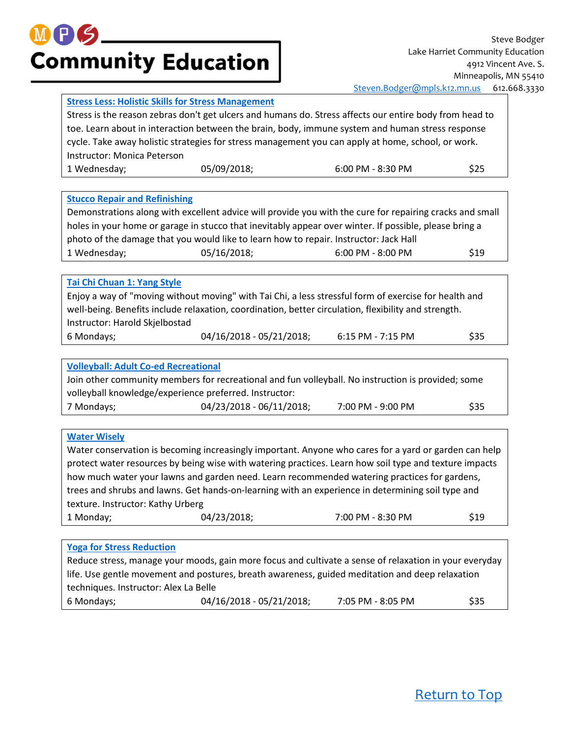

#### <span id="page-10-0"></span>**[Stress Less: Holistic Skills for Stress Management](https://minneapolis.ce.eleyo.com/course/12812/adult-enrichment-spring-summer-2018/stress-less-holistic-skills-for-stress-management-lake-harriet-at-anthony)**

Stress is the reason zebras don't get ulcers and humans do. Stress affects our entire body from head to toe. Learn about in interaction between the brain, body, immune system and human stress response cycle. Take away holistic strategies for stress management you can apply at home, school, or work. Instructor: Monica Peterson 1 Wednesday; 05/09/2018; 6:00 PM - 8:30 PM \$25

#### <span id="page-10-1"></span>**[Stucco Repair and Refinishing](https://minneapolis.ce.eleyo.com/course/13700/adult-enrichment-spring-summer-2018/stucco-repair-and-refinishing-lake-harriet)**

|                                                                                                        |             | Demonstrations along with excellent advice will provide you with the cure for repairing cracks and small |      |
|--------------------------------------------------------------------------------------------------------|-------------|----------------------------------------------------------------------------------------------------------|------|
| holes in your home or garage in stucco that inevitably appear over winter. If possible, please bring a |             |                                                                                                          |      |
| photo of the damage that you would like to learn how to repair. Instructor: Jack Hall                  |             |                                                                                                          |      |
| 1 Wednesday;                                                                                           | 05/16/2018; | $6:00$ PM - $8:00$ PM                                                                                    | \$19 |

#### <span id="page-10-2"></span>**[Tai Chi Chuan 1: Yang Style](https://minneapolis.ce.eleyo.com/course/12493/adult-enrichment-spring-summer-2018/tai-chi-chuan-1-yang-style-lake-harriet)**

Enjoy a way of "moving without moving" with Tai Chi, a less stressful form of exercise for health and well-being. Benefits include relaxation, coordination, better circulation, flexibility and strength. Instructor: Harold Skjelbostad 6 Mondays; 04/16/2018 - 05/21/2018; 6:15 PM - 7:15 PM \$35

<span id="page-10-3"></span>**[Volleyball: Adult Co-ed Recreational](https://minneapolis.ce.eleyo.com/course/12494/adult-enrichment-spring-summer-2018/volleyball-adult-co-ed-recreational-lake-harriet)** Join other community members for recreational and fun volleyball. No instruction is provided; some volleyball knowledge/experience preferred. Instructor: 7 Mondays;  $04/23/2018 - 06/11/2018$ ; 7:00 PM - 9:00 PM \$35

#### <span id="page-10-4"></span>**[Water Wisely](https://minneapolis.ce.eleyo.com/course/12808/adult-enrichment-spring-summer-2018/water-wisely-lake-harriet)**

Water conservation is becoming increasingly important. Anyone who cares for a yard or garden can help protect water resources by being wise with watering practices. Learn how soil type and texture impacts how much water your lawns and garden need. Learn recommended watering practices for gardens, trees and shrubs and lawns. Get hands-on-learning with an experience in determining soil type and texture. Instructor: Kathy Urberg 1 Monday; 04/23/2018; 7:00 PM - 8:30 PM \$19

#### <span id="page-10-5"></span>**[Yoga for Stress Reduction](https://minneapolis.ce.eleyo.com/course/12496/adult-enrichment-spring-summer-2018/yoga-for-stress-reduction-lake-harriet)**

Reduce stress, manage your moods, gain more focus and cultivate a sense of relaxation in your everyday life. Use gentle movement and postures, breath awareness, guided meditation and deep relaxation techniques. Instructor: Alex La Belle 6 Mondays; 04/16/2018 - 05/21/2018; 7:05 PM - 8:05 PM \$35